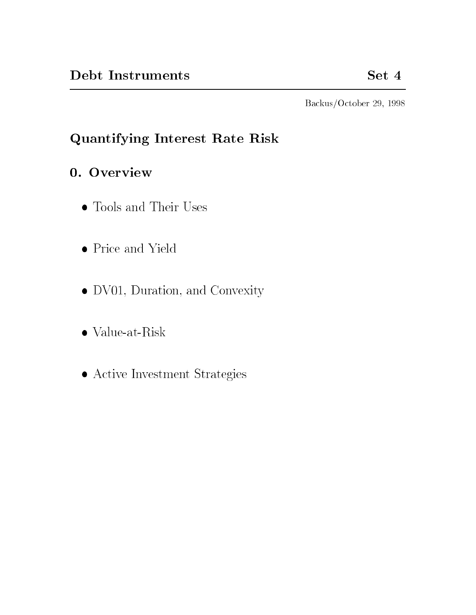Backus/October 29, 1998

# Quantifying Interest Rate Risk

# 0. Overview

- Tools and Their Uses
- Price and Yield
- DV01, Duration, and Convexity
- Value-at-Risk
- Active Investment Strategies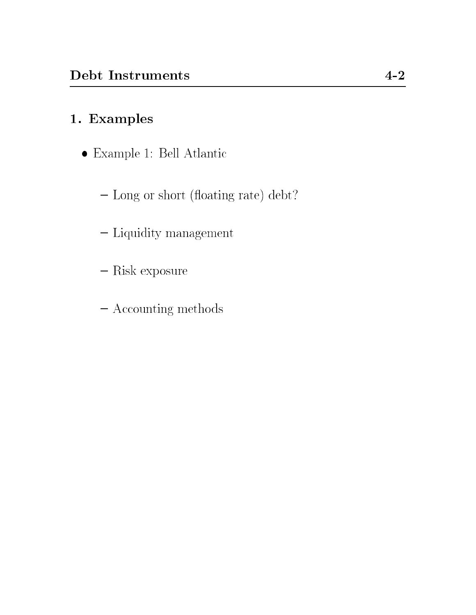# 1. Examples

- Example 1: Bell Atlantic
	- Long or short (floating rate) debt?
	- Liquidity management
	- $-$  Risk exposure
	- { Accounting methods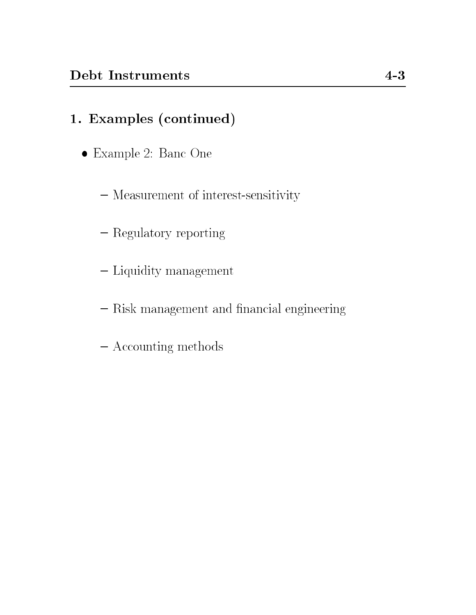- Example 2: Banc One
	- Measurement of interest-sensitivity
	- Regulatory reporting
	- Liquidity management
	- Risk management and financial engineering
	- { Accounting methods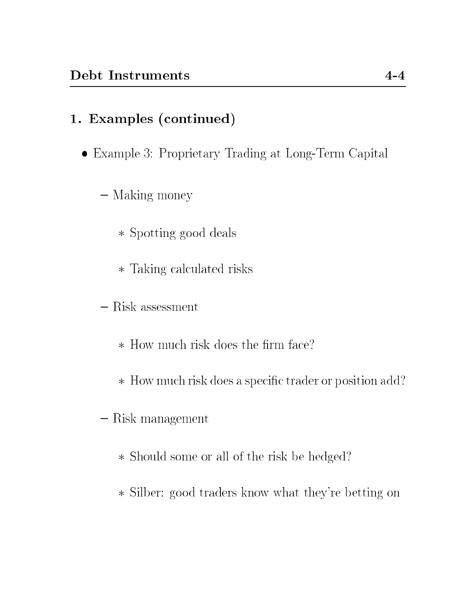- Example 3: Proprietary Trading at Long-Term Capital
	- Making money
		- Spotting good deals
		- Taking calculated risks
	- Risk assessment
		- $\ast$  How much risk does the firm face?
		- \* How much risk does a specific trader or position add?
	- $-$ Risk management
		- Should some or all of the risk be hedged?
		- Silber: good traders know what they're betting on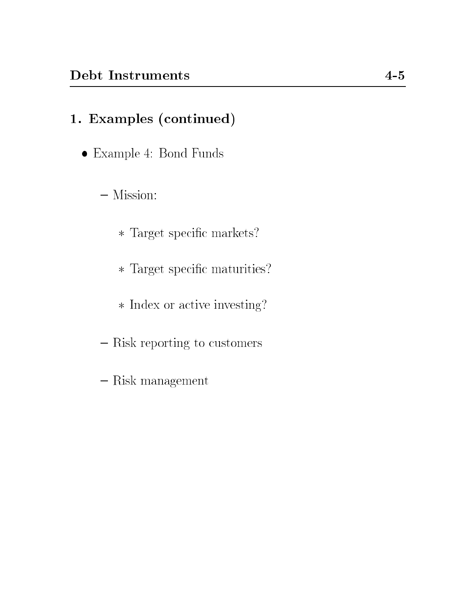- Example 4: Bond Funds
	- $-$  Mission:
		- $\ast$  Target specific markets?
		- $\ast$  Target specific maturities?
		- Index or active investing?
	- { Risk reporting to customers
	- $-$ Risk management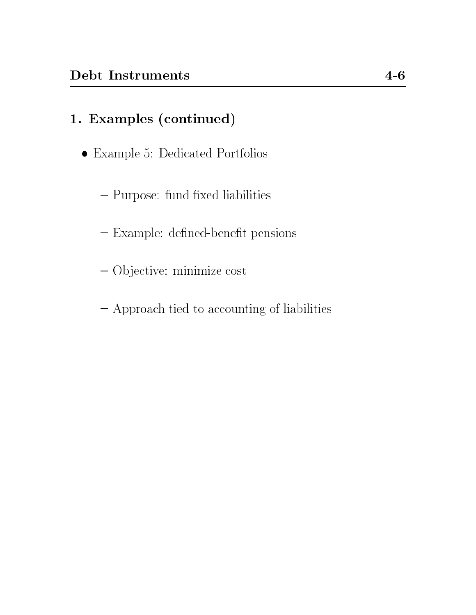- Example 5: Dedicated Portfolios
	- Purpose: fund fixed liabilities
	- Example: defined-benefit pensions
	- { Ob jective: minimize cost
	- { Approach tied to accounting of liabilities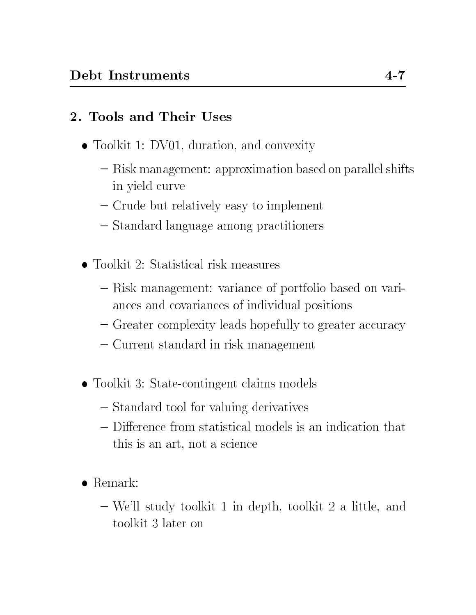## 2. Tools and Their Uses

- Toolkit 1: DV01, duration, and convexity
	- { Risk management: approximation based on parallel shifts in yield curve
	- { Crude but relatively easy to implement
	- { Standard language among practitioners
- Toolkit 2: Statistical risk measures
	- { Risk management: variance of portfolio based on variances and covariances of individual positions
	- { Greater complexity leads hopefully to greater accuracy
	- { Current standard in risk management
- Toolkit 3: State-contingent claims models
	- Standard tool for valuing derivatives
	- this is an art, not a science
- Remark:
	- { We'll study toolkit 1 in depth, toolkit 2 a little, and toolkit 3 later on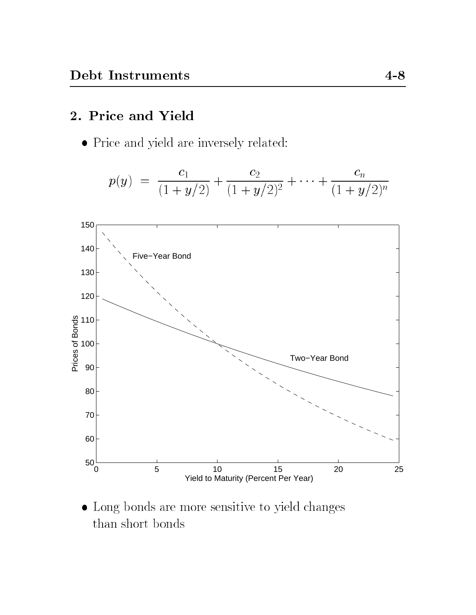#### 2. Price and Yield

Price and yield are inversely related:

$$
p(y) = \frac{c_1}{(1+y/2)} + \frac{c_2}{(1+y/2)^2} + \dots + \frac{c_n}{(1+y/2)^n}
$$



 $\bullet$  Long bonds are more sensitive to yield changes than short bonds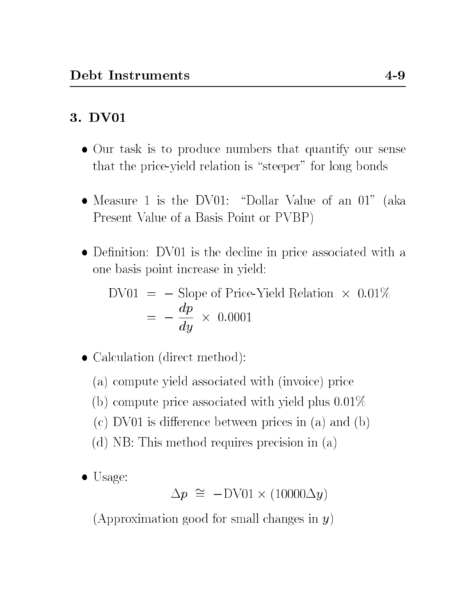# 3. DV01

- Our task is to produce numbers that quantify our sense that the price-yield relation is "steeper" for long bonds
- Measure 1 is the DV01: "Dollar Value of an  $01$ " (aka Present Value of a Basis Point or PVBP)
- Definition: DV01 is the decline in price associated with a one basis point increase in yield:

$$
\begin{aligned} \text{DV01} &= - \text{Slope of Price-Yield Relation} \times 0.01\% \\ &= -\frac{dp}{dy} \times 0.0001 \end{aligned}
$$

• Calculation (direct method):

- (a) compute yield associated with (invoice) price
- (b) compute price associated with yield plus 0.01%
- $(c)$  DV01 is difference between prices in  $(a)$  and  $(b)$
- (d) NB: This method requires precision in (a)
- Usage:

 $\Delta p = -D$ VVI  $\lambda$  (10000 $\Delta q$ )

(Approximation good for small changes in  $y$ )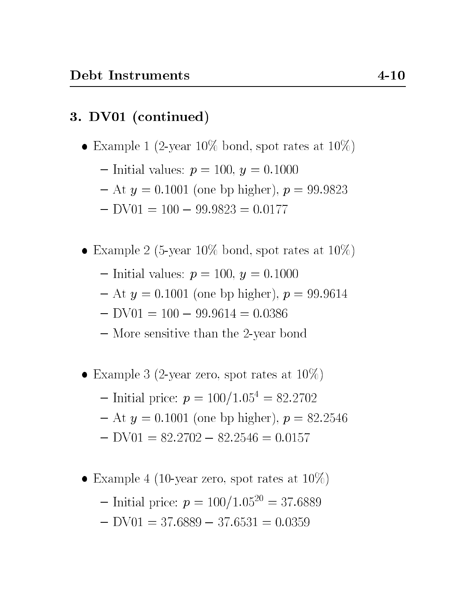# 3. DV01 (continued)

- Example 1 (2-year 10% bond, spot rates at  $10\%$ )
	- ${\rm -}$  Initial values:  $p = 100, y = 0.1000$
	- ${- At y = 0.1001 (one bp higher), p = 99.9823}$
	- $-$  DV01 = 100  $-$  99.9823 = 0.0177
- Example 2 (5-year 10% bond, spot rates at  $10\%$ )
	- ${\rm -}$  Initial values:  $p = 100, y = 0.1000$
	- $-$  At  $y = 0.1001$  (one bp higher),  $p = 99.9614$
	- $-$  DV01 = 100  $-$  99.9614 = 0.0386
	- More sensitive than the 2-year bond
- Example 3 (2-year zero, spot rates at  $10\%$ )
	- $-$  Initial price:  $p = 100/1.05^4 = 82.2702$
	- $-$  At  $y = 0.1001$  (one bp higher),  $p = 82.2546$
	- $-$  DV01 = 82.2702  $-$  82.2546 = 0.0157
- Example 4 (10-year zero, spot rates at  $10\%$ )
	- $-$  Initial price:  $p = 100/1.05^{20} = 37.6889$
	- $-$  DV01 = 37.6889  $-$  37.6531 = 0.0359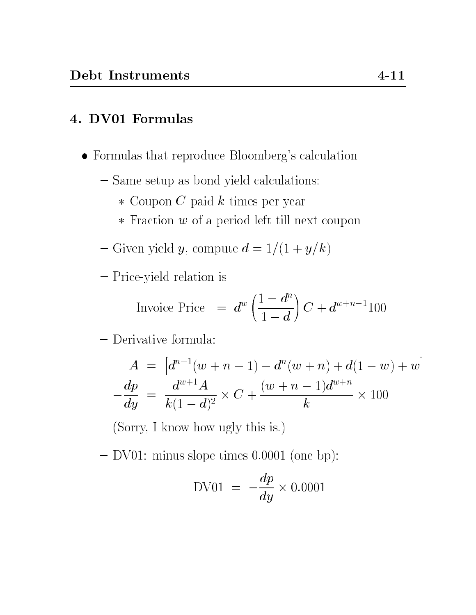### 4. DV01 Formulas

- Formulas that reproduce Bloomberg's calculation
	- ${ }-$  Same setup as bond yield calculations:
		- $*$  Coupon C paid k times per year
		- $*$  Fraction  $w$  of a period left till next coupon
	- $-$  Given yield  $y,$  compute  $d = 1/(1 + y/k)$
	- { Price-yield relation is

$$
\text{Invoice Price} = d^w \left( \frac{1 - d^n}{1 - d} \right) C + d^{w+n-1} 100
$$

### { Derivative formula:

$$
A = [d^{n+1}(w+n-1) - d^n(w+n) + d(1-w) + w]
$$

$$
-\frac{dp}{dy} = \frac{d^{w+1}A}{k(1-d)^2} \times C + \frac{(w+n-1)d^{w+n}}{k} \times 100
$$

(Sorry, I know how ugly this is.)

 $-$  DV01: minus slope times 0.0001 (one bp):

$$
DV01 = -\frac{dp}{dy} \times 0.0001
$$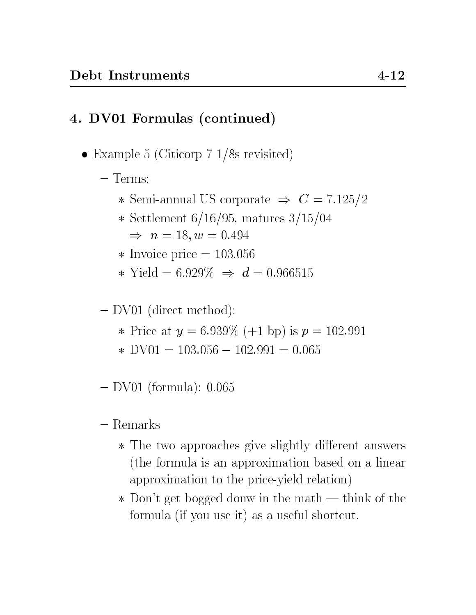# 4. DV01 Formulas (continued)

- Example 5 (Citicorp 7 1/8s revisited)
	- { Terms:
		- \* Semi-annual US corporate  $\Rightarrow$   $C = 7.125/2$
		- \* Settlement  $6/16/95$ , matures  $3/15/04$  $\Rightarrow n = 18, w = 0.494$
		- $\ast$  Invoice price = 103.056
		- \* Yield =  $6.929\% \Rightarrow d = 0.966515$

{ DV01 (direct method):

- \* Price at  $y = 6.939\%$  (+1 bp) is  $p = 102.991$
- $\ast$  DV01 = 103.056 102.991 = 0.065
- $-$  DV01 (formula): 0.065

#### $-$  Remarks

- \* The two approaches give slightly different answers (the formula is an approximation based on a linear approximation to the price-yield relation)
- $\ast$  Don't get bogged donw in the math think of the formula (if you use it) as a useful shortcut.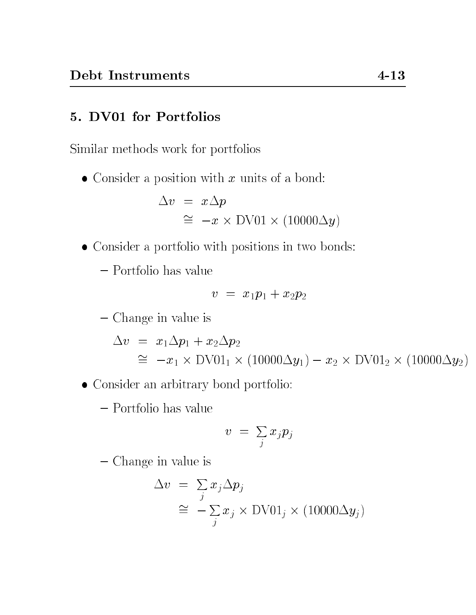### 5. DV01 for Portfolios

Similar methods work for portfolios

 $\bullet$  Consider a position with x units of a bond:

$$
\Delta v = x \Delta p
$$
  
\n
$$
\approx -x \times \text{DV01} \times (10000 \Delta y)
$$

Consider a portfolio with positions in two bonds:

{ Portfolio has value

$$
v = x_1 p_1 + x_2 p_2
$$

{ Change in value is

$$
\Delta v = x_1 \Delta p_1 + x_2 \Delta p_2
$$
  
\n
$$
\approx -x_1 \times \text{DV01}_1 \times (10000 \Delta y_1) - x_2 \times \text{DV01}_2 \times (10000 \Delta y_2)
$$

- Consider an arbitrary bond portfolio:
	- $-$  Portfolio has value

$$
v\,\,=\,\,\textstyle{\sum\limits_j}\,x_j p_j
$$

{ Change in value is

$$
\Delta v = \sum_{j} x_{j} \Delta p_{j}
$$
  
\n
$$
\approx -\sum_{j} x_{j} \times \text{DV01}_{j} \times (10000 \Delta y_{j})
$$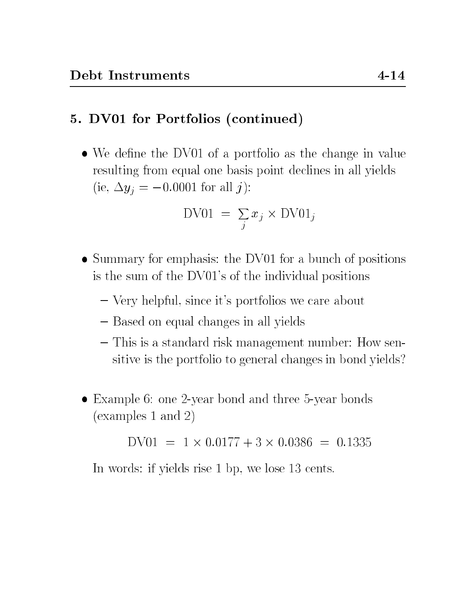#### 5. DV01 for Portfolios (continued)

• We define the DV01 of a portfolio as the change in value resulting from equal one basis point declines in all yields (ie,  $\Delta y_i = -0.0001$  for all j):

$$
D\text{V01} = \sum_j x_j \times D\text{V01}_j
$$

- Summary for emphasis: the DV01 for a bunch of positions is the sum of the DV01's of the individual positions
	- { Very helpful, since it's portfolios we care about
	- $-$  Based on equal changes in all yields
	- { This is a standard risk management number: How sensitive is the portfolio to general changes in bond yields?
- Example 6: one 2-year bond and three 5-year bonds (examples 1 and 2)

DV01 = 1 - 0:0177 + 3 - 0:0386 = 0:1335

In words: if yields rise 1 bp, we lose 13 cents.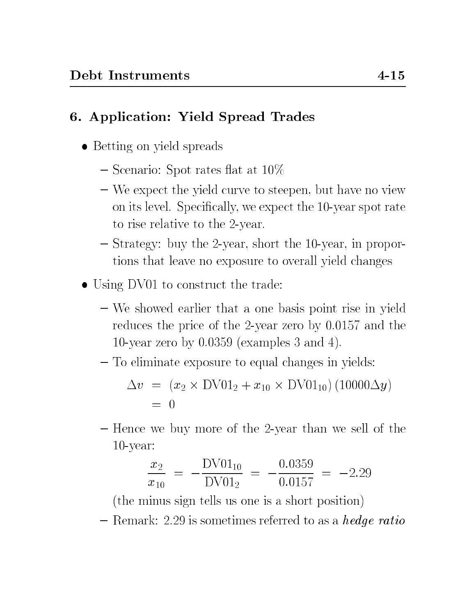## 6. Application: Yield Spread Trades

- Betting on yield spreads
	- $-$  Scenario: Spot rates flat at 10\%
	- We expect the yield curve to steepen, but have no view on its level. Specically, we expect the 10-year spot rate to rise relative to the 2-year.
	- { Strategy: buy the 2-year, short the 10-year, in proportions that leave no exposure to overall yield changes
- Using DV01 to construct the trade:
	- { We showed earlier that a one basis point rise in yield reduces the price of the 2-year zero by 0.0157 and the 10-year zero by 0.0359 (examples 3 and 4).
	- { To eliminate exposure to equal changes in yields:

$$
\Delta v = (x_2 \times \text{DV01}_2 + x_{10} \times \text{DV01}_{10}) (10000 \Delta y)
$$
  
= 0

- Hence we buy more of the 2-year than we sell of the 10-year:

$$
\frac{x_2}{x_{10}} = -\frac{\text{DV01}_{10}}{\text{DV01}_2} = -\frac{0.0359}{0.0157} = -2.29
$$

(the minus sign tells us one is a short position)

 ${\rm -}$  Remark: 2.29 is sometimes referred to as a *hedge ratio*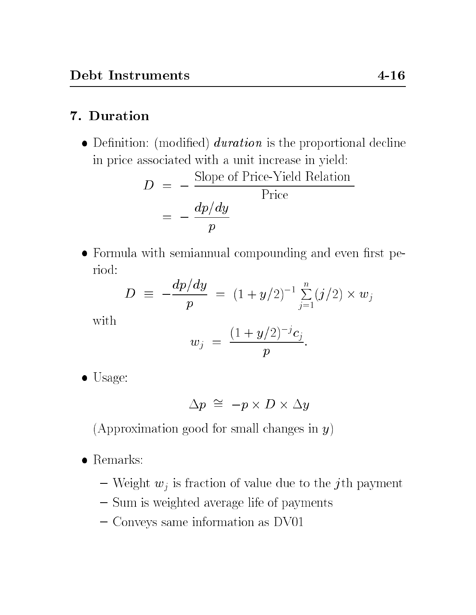## 7. Duration

 $\bullet$  Definition: (modified) *duration* is the proportional decline in price associated with a unit increase in yield:

$$
D = -\frac{\text{Slope of Price-Yield Relation}}{\text{Price}}
$$

$$
= -\frac{dp/dy}{p}
$$

 $\bullet$  Formula with semiannual compounding and even first period:

$$
D = -\frac{dp/dy}{p} = (1 + y/2)^{-1} \sum_{j=1}^{n} (j/2) \times w_j
$$

with

$$
w_j \,\,=\,\frac{(1+y/2)^{-j}c_j}{p}.
$$

 $\bullet$  Usage:

$$
\Delta p \,\,\cong\,\, -p \times D \times \Delta y
$$

(Approximation good for small changes in  $y$ )

- $\bullet$  Remarks:
	- Weight  $w_j$  is fraction of value due to the j<sup>th</sup> payment
	- Sum is weighted average life of payments
	- { Conveys same information as DV01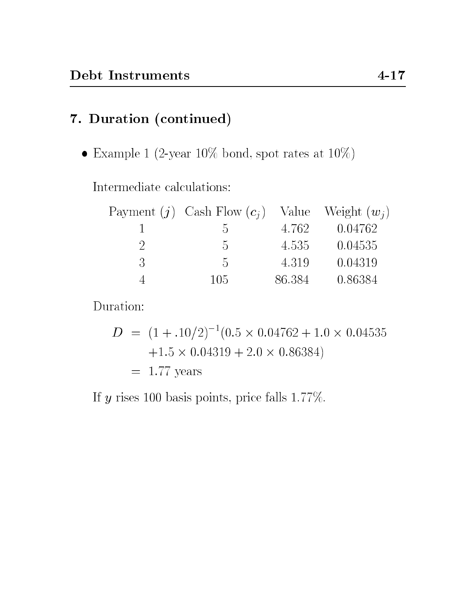# 7. Duration (continued)

 $\bullet$  Example 1 (2-year 10% bond, spot rates at 10%)

Intermediate calculations:

|   | Payment (j) Cash Flow $(c_i)$ Value Weight $(w_i)$ |        |         |
|---|----------------------------------------------------|--------|---------|
|   | $\mathcal{L}$                                      | 4.762  | 0.04762 |
|   | $\mathcal{D}$                                      | 4.535  | 0.04535 |
| 3 | $\Lambda$                                          | 4.319  | 0.04319 |
|   | 105                                                | 86.384 | 0.86384 |

Duration:

$$
D = (1 + .10/2)^{-1}(0.5 \times 0.04762 + 1.0 \times 0.04535
$$
  
+1.5 \times 0.04319 + 2.0 \times 0.86384)  
= 1.77 years

If y rises 100 basis points, price falls 1.77%.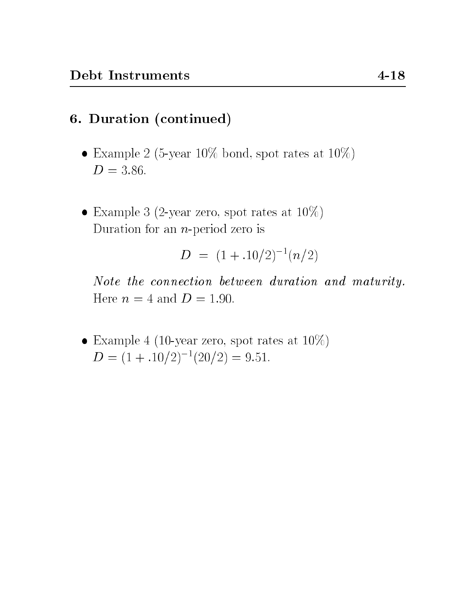### 6. Duration (continued)

- Example 2 (5-year 10% bond, spot rates at  $10\%$ )  $D = 3.86$ .
- Example 3 (2-year zero, spot rates at  $10\%)$ Duration for an  $n$ -period zero is

$$
D = (1 + .10/2)^{-1} (n/2)
$$

Note the connection between duration and maturity. Here  $n = 4$  and  $D = 1.90$ .

• Example 4 (10-year zero, spot rates at  $10\%)$  $D = (1 + .10/2)^{-1}(20/2) = 9.51.$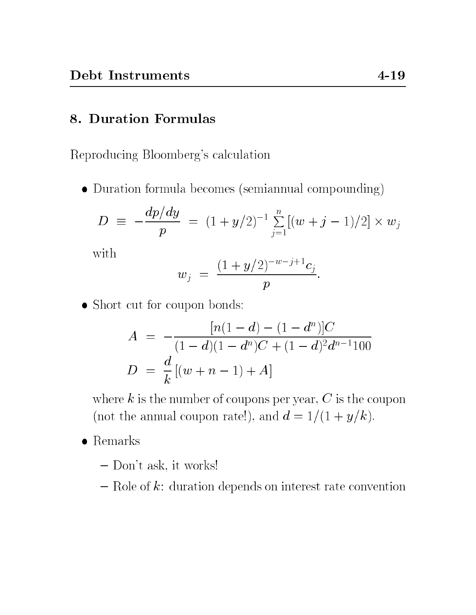#### 8. Duration Formulas

Reproducing Bloomberg's calculation

Duration formula becomes (semiannual compounding)

$$
D \equiv -\frac{dp/dy}{p} = (1 + y/2)^{-1} \sum_{j=1}^{n} [(w+j-1)/2] \times w_j
$$

with

$$
w_j = \frac{(1 + y/2)^{-w-j+1}c_j}{p}.
$$

• Short cut for coupon bonds:

$$
A = -\frac{[n(1-d) - (1-d^n)]C}{(1-d)(1-d^n)C + (1-d)^2d^{n-1}100}
$$
  

$$
D = \frac{d}{k}[(w+n-1) + A]
$$

where  $k$  is the number of coupons per year,  $C$  is the coupon (not the annual coupon rate!), and  $d = 1/(1 + y/k)$ .

- $\bullet$  Remarks
	- { Don't ask, it works!
	- ${\rm -}$  Role of k: duration depends on interest rate convention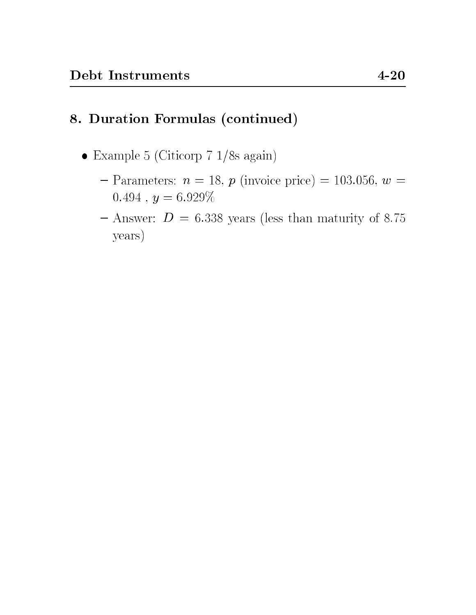# 8. Duration Formulas (continued)

- Example 5 (Citicorp 7 1/8s again)
	- $-$  Parameters:  $n = 18$ ,  $p$  (invoice price) = 103.056,  $w =$  $0.494$ ,  $y = 6.929\%$
	- $-$  Answer:  $D = 6.338$  years (less than maturity of 8.75 years)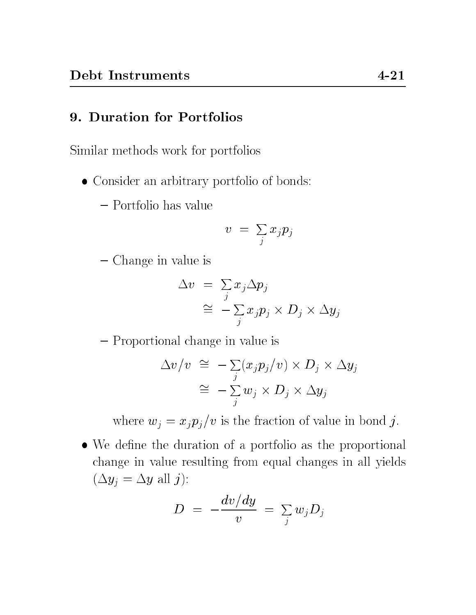#### 9. Duration for Portfolios

Similar methods work for portfolios

- Consider an arbitrary portfolio of bonds:
	- $-$  Portfolio has value

$$
v\,\,=\,\,\textstyle{\sum\limits_j}\,x_j p_j
$$

{ Change in value is

$$
\Delta v = \sum_{j} x_j \Delta p_j
$$
  
\n
$$
\cong -\sum_{j} x_j p_j \times D_j \times \Delta y_j
$$

{ Proportional change in value is

$$
\Delta v/v \cong -\sum_{j} (x_j p_j/v) \times D_j \times \Delta y_j
$$

$$
\cong -\sum_{j} w_j \times D_j \times \Delta y_j
$$

where  $w_j = x_j p_j/v$  is the fraction of value in bond j.

 $\bullet$  We define the duration of a portfolio as the proportional change in value resulting from equal changes in all yields  $(\Delta y_j = \Delta y$  all j):

$$
D\,\,=\,\,-\frac{dv\big/dy}{v}\,\,=\,\,\sum_j w_j D_j
$$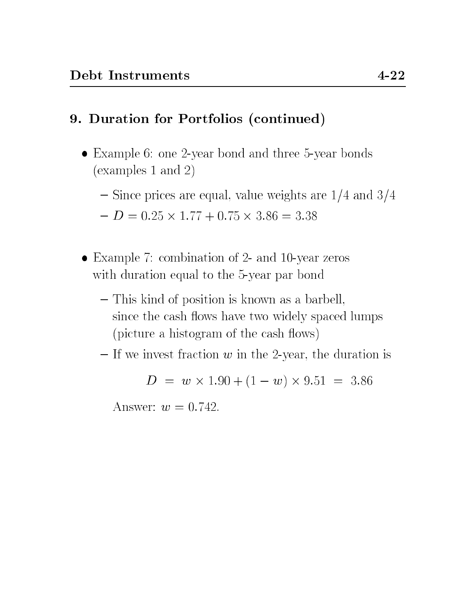## 9. Duration for Portfolios (continued)

- Example 6: one 2-year bond and three 5-year bonds (examples 1 and 2)
	- $-$  Since prices are equal, value weights are  $1/4$  and  $3/4$

$$
- D = 0.25 \times 1.77 + 0.75 \times 3.86 = 3.38
$$

- Example 7: combination of 2- and 10-year zeros with duration equal to the 5-year par bond
	- { This kind of position is known as a barbell, since the cash flows have two widely spaced lumps (picture a histogram of the cash flows)
	- ${\cal I}$  If we invest fraction w in the 2-year, the duration is

$$
D = w \times 1.90 + (1 - w) \times 9.51 = 3.86
$$

Answer:  $w = 0.742$ .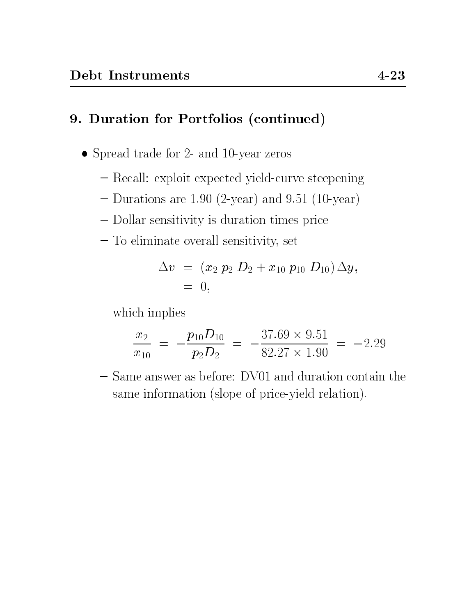## 9. Duration for Portfolios (continued)

- Spread trade for 2- and 10-year zeros
	- Recall: exploit expected yield-curve steepening
	- $-$  Durations are 1.90 (2-year) and 9.51 (10-year)
	- { Dollar sensitivity is duration times price
	- { To eliminate overall sensitivity, set

$$
\begin{array}{lcl} \Delta v & = & (x_2 \ p_2 \ D_2 + x_{10} \ p_{10} \ D_{10}) \, \Delta y, \\ & = & 0, \end{array}
$$

which implies

$$
\frac{x_2}{x_{10}} = -\frac{p_{10}D_{10}}{p_2D_2} = -\frac{37.69 \times 9.51}{82.27 \times 1.90} = -2.29
$$

- Same answer as before: DV01 and duration contain the same information (slope of price-yield relation).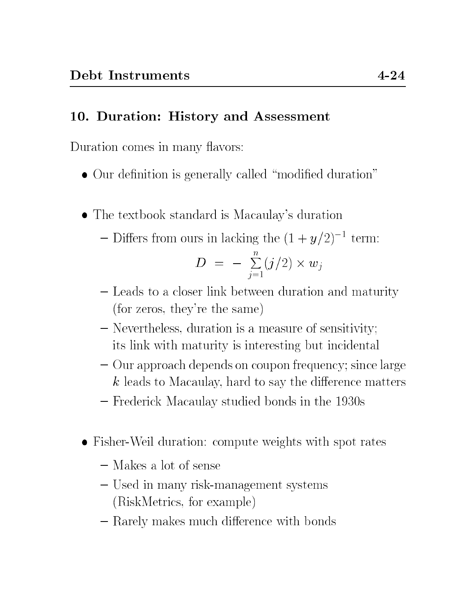## 10. Duration: History and Assessment

Duration comes in many flavors:

- $\bullet$  Our definition is generally called "modified duration"
- The textbook standard is Macaulay's duration

- Differs from ours in lacking the 
$$
(1 + y/2)^{-1}
$$
 term:

$$
D = -\sum_{j=1}^n (j/2) \times w_j
$$

- Leads to a closer link between duration and maturity (for zeros, they're the same)
- { Nevertheless, duration is a measure of sensitivity; its link with maturity is interesting but incidental
- ${\rm -}$  Our approach depends on coupon frequency; since large  $k$  leads to Macaulay, hard to say the difference matters
- { Frederick Macaulay studied bonds in the 1930s
- Fisher-Weil duration: compute weights with spot rates
	- $-$  Makes a lot of sense
	- { Used in many risk-management systems (RiskMetrics, for example)
	- $-$  Rarely makes much difference with bonds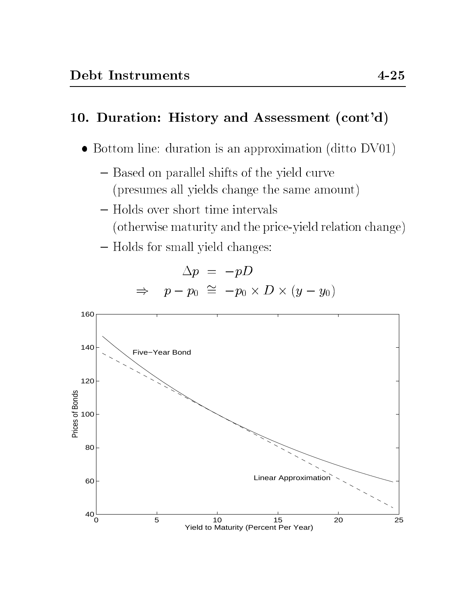#### 10. Duration: History and Assessment (cont'd)

- Bottom line: duration is an approximation (ditto DV01)
	- Based on parallel shifts of the yield curve
		- (presumes all yields change the same amount)
	- Holds over short time intervals
		- (otherwise maturity and the price-yield relation change)
	- { Holds for small yield changes:

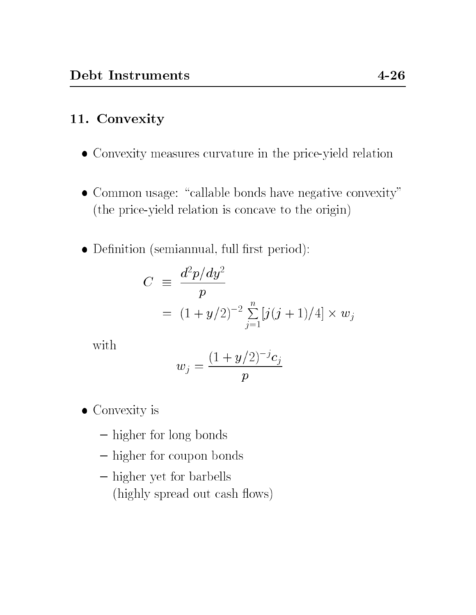# 11. Convexity

- Convexity measures curvature in the price-yield relation
- $\bullet$  Common usage: "callable bonds have negative convexity" (the price-yield relation is concave to the origin)
- Definition (semiannual, full first period):

$$
C \equiv \frac{d^2 p/dy^2}{p}
$$
  
=  $(1 + y/2)^{-2} \sum_{j=1}^{n} [j(j+1)/4] \times w_j$ 

with

$$
w_j=\frac{(1+y/2)^{-j}c_j}{p}
$$

- Convexity is
	- higher for long bonds
	- higher for coupon bonds
	- higher yet for barbells (highly spread out cash flows)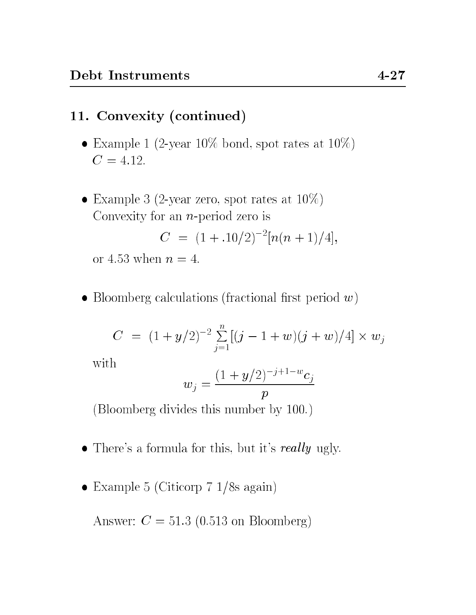### 11. Convexity (continued)

- Example 1 (2-year 10% bond, spot rates at  $10\%$ )  $C = 4.12.$
- Example 3 (2-year zero, spot rates at  $10\%)$ Convexity for an  $n$ -period zero is

$$
C = (1 + .10/2)^{-2} [n(n+1)/4],
$$

or 4.53 when  $n = 4$ .

• Bloomberg calculations (fractional first period  $w$ )

$$
C = (1 + y/2)^{-2} \sum_{j=1}^{n} [(j - 1 + w)(j + w)/4] \times w_j
$$

with

$$
w_j = \frac{(1 + y/2)^{-j+1-w} c_j}{p}
$$

(Bloomberg divides this number by 100.)

- $\bullet$  There's a formula for this, but it's really ugly.
- Example 5 (Citicorp 7 1/8s again)

Answer:  $C = 51.3$  (0.513 on Bloomberg)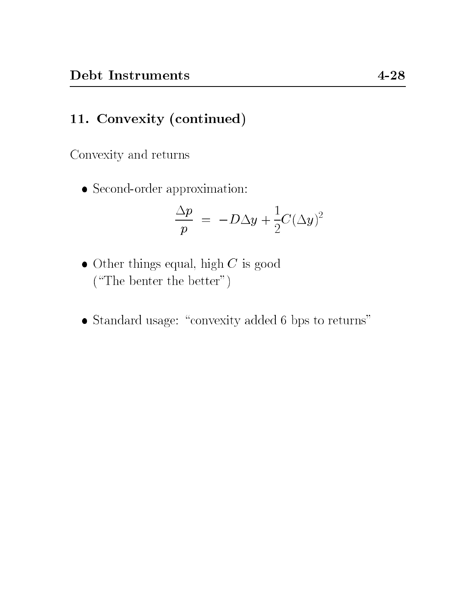# 11. Convexity (continued)

Convexity and returns

 $\bullet$  Second-order approximation:

$$
\frac{\Delta p}{p} = -D\Delta y + \frac{1}{2}C(\Delta y)^2
$$

- $\bullet$  Other things equal, high  $C$  is good  $(\text{``The benter the better''})$
- $\bullet$  Standard usage: "convexity added 6 bps to returns"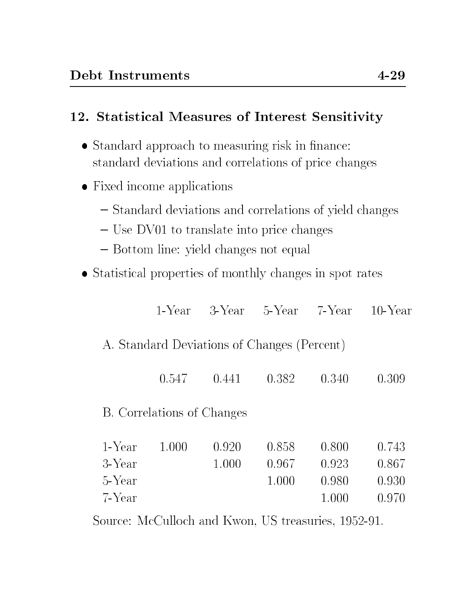## 12. Statistical Measures of Interest Sensitivity

- Standard approach to measuring risk in finance: standard deviations and correlations of price changes
- Fixed income applications
	- Standard deviations and correlations of yield changes
	- { Use DV01 to translate into price changes
	- { Bottom line: yield changes not equal
- Statistical properties of monthly changes in spot rates

| 1-Year | 3-Year | 5-Year                              | 7-Year | $10$ -Year                                                    |
|--------|--------|-------------------------------------|--------|---------------------------------------------------------------|
|        |        |                                     |        |                                                               |
| 0.547  | 0.441  | 0.382                               | 0.340  | 0.309                                                         |
|        |        |                                     |        |                                                               |
| 1.000  | 0.920  | 0.858                               | 0.800  | 0.743<br>0.867                                                |
|        |        | 1.000                               | 0.980  | 0.930<br>0.970                                                |
|        |        | B. Correlations of Changes<br>1.000 | 0.967  | A. Standard Deviations of Changes (Percent)<br>0.923<br>1.000 |

Source: McCulloch and Kwon, US treasuries, 1952-91.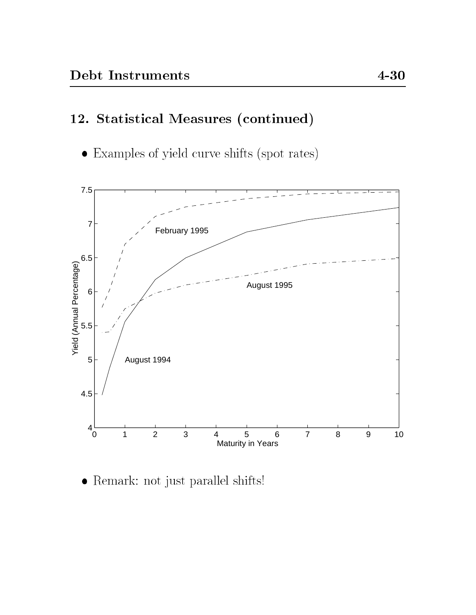# 12. Statistical Measures (continued)

Examples of yield curve shifts (spot rates)



Remark: not just parallel shifts!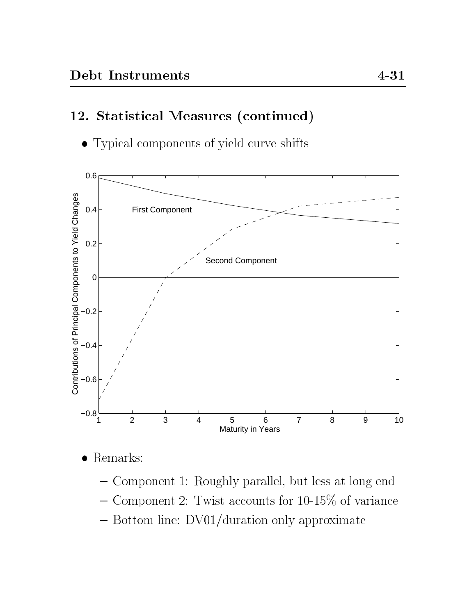# 12. Statistical Measures (continued)

Typical components of yield curve shifts



 $\bullet$  Remarks:

- { Component 1: Roughly parallel, but less at long end
- ${\sim}$  Component 2: Twist accounts for 10-15% of variance
- { Bottom line: DV01/duration only approximate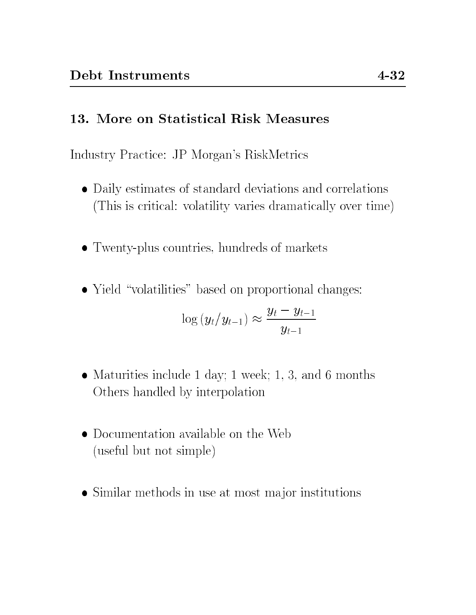#### 13. More on Statistical Risk Measures

Industry Practice: JP Morgan's RiskMetrics

- Daily estimates of standard deviations and correlations (This is critical: volatility varies dramatically over time)
- Twenty-plus countries, hundreds of markets
- Yield "volatilities" based on proportional changes:

$$
\log \left(y_t/y_{t-1}\right) \approx \frac{y_t - y_{t-1}}{y_{t-1}}
$$

- Maturities include 1 day; 1 week; 1, 3, and 6 months Others handled by interpolation
- Documentation available on the Web (useful but not simple)
- Similar methods in use at most major institutions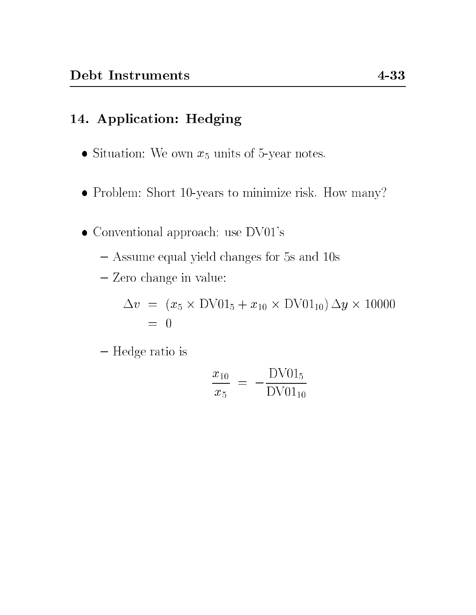## 14. Application: Hedging

- Situation: We own  $x_5$  units of 5-year notes.
- Problem: Short 10-years to minimize risk. How many?
- Conventional approach: use DV01's
	- { Assume equal yield changes for 5s and 10s
	- { Zero change in value:

v <sup>=</sup> (x5 - DV015 <sup>+</sup> x10 - DV0110) y - 10000  $= 0$ 

{ Hedge ratio is

$$
\frac{x_{10}}{x_5} = -\frac{\text{DV01}_5}{\text{DV01}_{10}}
$$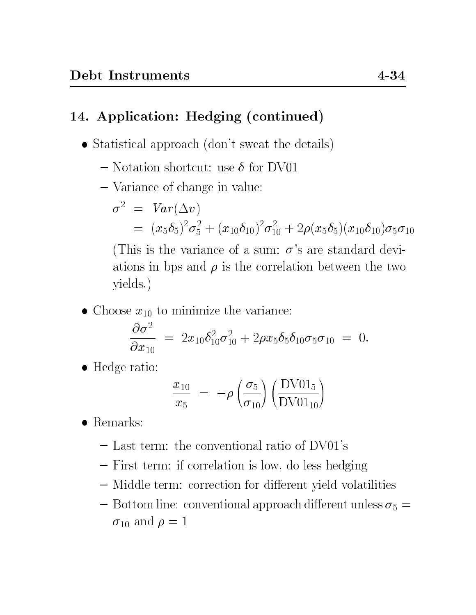# 14. Application: Hedging (continued)

- Statistical approach (don't sweat the details)
	- $-$  Notation shortcut: use  $\delta$  for DV01
	- { Variance of change in value:

$$
\sigma^2 = Var(\Delta v)
$$
  
=  $(x_5\delta_5)^2\sigma_5^2 + (x_{10}\delta_{10})^2\sigma_{10}^2 + 2\rho(x_5\delta_5)(x_{10}\delta_{10})\sigma_5\sigma_{10}$   
(This is the variance of a sum:  $\sigma$ 's are standard devi-

his is the variance of a sum:  $\sigma$ 's are standard deviations in bps and  $\rho$  is the correlation between the two yields.)

• Choose  $x_{10}$  to minimize the variance:

$$
\frac{\partial \sigma^2}{\partial x_{10}} = 2x_{10}\delta_{10}^2\sigma_{10}^2 + 2\rho x_5 \delta_5 \delta_{10} \sigma_5 \sigma_{10} = 0.
$$

Hedge ratio:

$$
\frac{x_{10}}{x_5} = -\rho \left(\frac{\sigma_5}{\sigma_{10}}\right) \left(\frac{\text{DV01}_5}{\text{DV01}_{10}}\right)
$$

- Remarks:
	- { Last term: the conventional ratio of DV01's
	- { First term: if correlation is low, do less hedging
	- ${\bf -}$  Middle term: correction for different yield volatilities
	- ${\rm -}$  Bottom line: conventional approach different unless  $\sigma_5 =$  $\sigma_{10}$  and  $\rho = 1$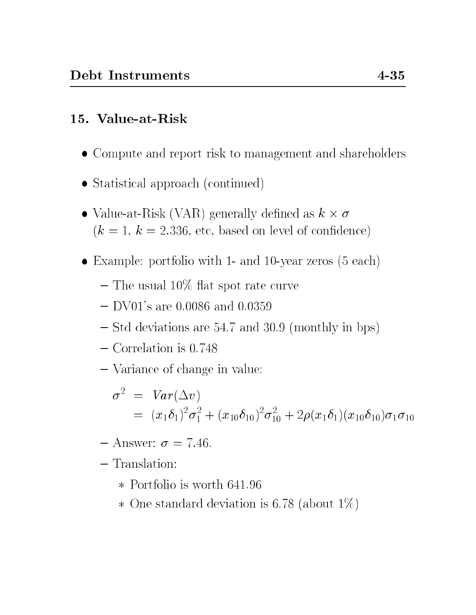# 15. Value-at-Risk

- Compute and report risk to management and shareholders
- Statistical approach (continued)
- Value-at-Risk (VAR) generally dened as k  $(k = 1, k = 2.336,$  etc, based on level of confidence)
- Example: portfolio with 1- and 10-year zeros (5 each)
	- $-$  The usual 10% flat spot rate curve
	- $-$  DV01's are 0.0086 and 0.0359
	- { Std deviations are 54.7 and 30.9 (monthly in bps)
	- { Correlation is 0.748
	- { Variance of change in value:

$$
\sigma^2 = Var(\Delta v)
$$
  
=  $(x_1\delta_1)^2\sigma_1^2 + (x_{10}\delta_{10})^2\sigma_{10}^2 + 2\rho(x_1\delta_1)(x_{10}\delta_{10})\sigma_1\sigma_{10}$ 

- $-$  Answer:  $\sigma = 7.46$ .
- $-$ Translation:
	-
	- One standard deviation is 6.78 (about 1%)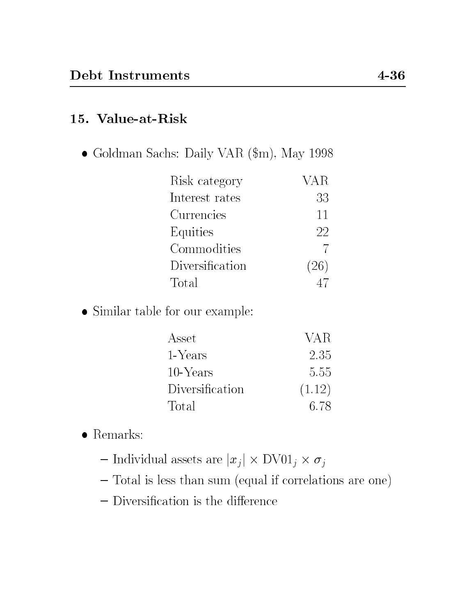### 15. Value-at-Risk

Goldman Sachs: Daily VAR (\$m), May 1998

| Risk category   | VAR  |
|-----------------|------|
| Interest rates  | 33   |
| Currencies      | 11   |
| Equities        | 22   |
| Commodities     |      |
| Diversification | (26) |
| Total           |      |

 $\bullet$  Similar table for our example:

| Asset           | VA R   |
|-----------------|--------|
| 1-Years         | 2.35   |
| 10-Years        | 5.55   |
| Diversification | (1.12) |
| Total           | 6.78   |

- $\bullet$  Remarks:
	- $\frac{1}{2}$   $\frac{1}{2}$   $\frac{1}{2}$   $\frac{1}{2}$   $\frac{1}{2}$   $\frac{1}{2}$   $\frac{1}{2}$   $\frac{1}{2}$   $\frac{1}{2}$   $\frac{1}{2}$   $\frac{1}{2}$   $\frac{1}{2}$   $\frac{1}{2}$   $\frac{1}{2}$   $\frac{1}{2}$   $\frac{1}{2}$   $\frac{1}{2}$   $\frac{1}{2}$   $\frac{1}{2}$   $\frac{1}{2}$   $\frac{1}{2}$   $\frac{1}{2}$
	- { Total is less than sum (equal if correlations are one)
	- $-$  Diversification is the difference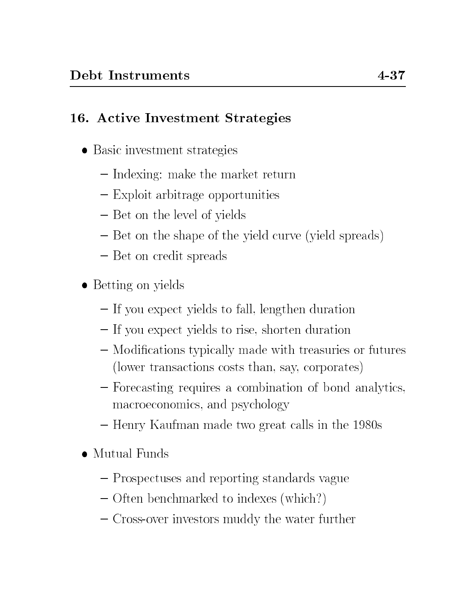## 16. Active Investment Strategies

- Basic investment strategies
	- { Indexing: make the market return
	- ${\rm -}$  Exploit arbitrage opportunities
	- Bet on the level of yields
	- Bet on the shape of the yield curve (yield spreads)
	- ${\rm -}$  Bet on credit spreads
- Betting on yields
	- If you expect yields to fall, lengthen duration
	- If you expect yields to rise, shorten duration
	- ${\bf -}$  Modifications typically made with treasuries or futures (lower transactions costs than, say, corporates)
	- Forecasting requires a combination of bond analytics, macroeconomics, and psychology
	- { Henry Kaufman made two great calls in the 1980s
- Mutual Funds
	- { Prospectuses and reporting standards vague
	- { Often benchmarked to indexes (which?)
	- { Cross-over investors muddy the water further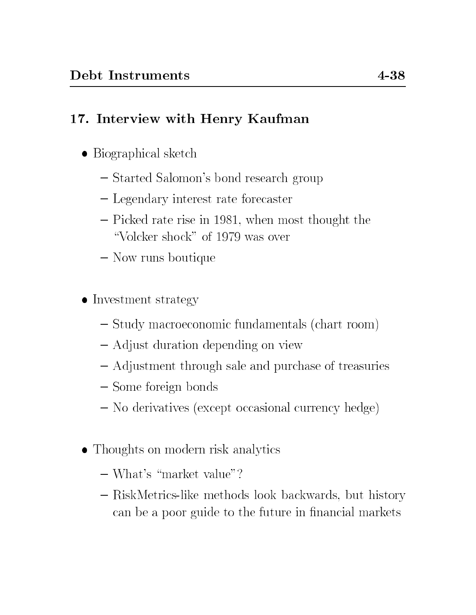# 17. Interview with Henry Kaufman

- Biographical sketch
	- $-$  Started Salomon's bond research group
	- Legendary interest rate forecaster
	- { Picked rate rise in 1981, when most thought the "Volcker shock" of 1979 was over
	- { Now runs boutique
- Investment strategy
	- ${\rm -}$  Study macroeconomic fundamentals (chart room)
	- { Adjust duration depending on view
	- { Adjustment through sale and purchase of treasuries
	- Some foreign bonds
	- { No derivatives (except occasional currency hedge)
- Thoughts on modern risk analytics
	- $\sim$  What's "market value"?
	- { RiskMetrics-like methods look backwards, but history can be a poor guide to the future in financial markets